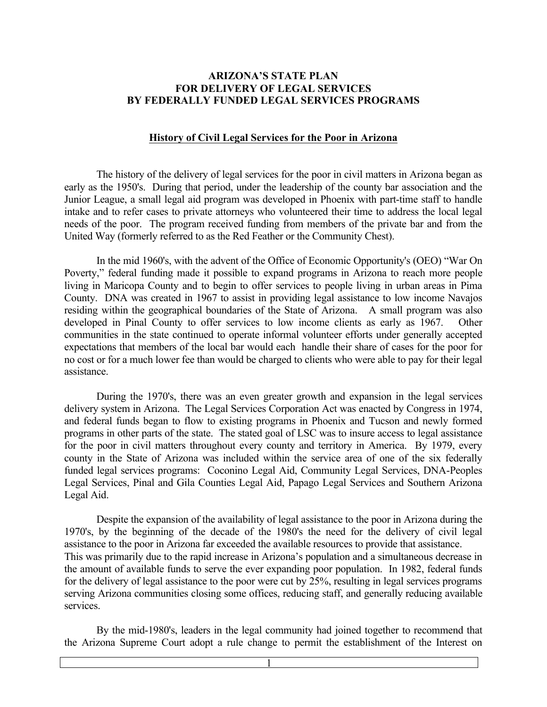#### **ARIZONA'S STATE PLAN FOR DELIVERY OF LEGAL SERVICES BY FEDERALLY FUNDED LEGAL SERVICES PROGRAMS**

#### **History of Civil Legal Services for the Poor in Arizona**

The history of the delivery of legal services for the poor in civil matters in Arizona began as early as the 1950's. During that period, under the leadership of the county bar association and the Junior League, a small legal aid program was developed in Phoenix with part-time staff to handle intake and to refer cases to private attorneys who volunteered their time to address the local legal needs of the poor. The program received funding from members of the private bar and from the United Way (formerly referred to as the Red Feather or the Community Chest).

In the mid 1960's, with the advent of the Office of Economic Opportunity's (OEO) "War On Poverty," federal funding made it possible to expand programs in Arizona to reach more people living in Maricopa County and to begin to offer services to people living in urban areas in Pima County. DNA was created in 1967 to assist in providing legal assistance to low income Navajos residing within the geographical boundaries of the State of Arizona. A small program was also developed in Pinal County to offer services to low income clients as early as 1967. Other communities in the state continued to operate informal volunteer efforts under generally accepted expectations that members of the local bar would each handle their share of cases for the poor for no cost or for a much lower fee than would be charged to clients who were able to pay for their legal assistance.

During the 1970's, there was an even greater growth and expansion in the legal services delivery system in Arizona. The Legal Services Corporation Act was enacted by Congress in 1974, and federal funds began to flow to existing programs in Phoenix and Tucson and newly formed programs in other parts of the state. The stated goal of LSC was to insure access to legal assistance for the poor in civil matters throughout every county and territory in America. By 1979, every county in the State of Arizona was included within the service area of one of the six federally funded legal services programs: Coconino Legal Aid, Community Legal Services, DNA-Peoples Legal Services, Pinal and Gila Counties Legal Aid, Papago Legal Services and Southern Arizona Legal Aid.

Despite the expansion of the availability of legal assistance to the poor in Arizona during the 1970's, by the beginning of the decade of the 1980's the need for the delivery of civil legal assistance to the poor in Arizona far exceeded the available resources to provide that assistance. This was primarily due to the rapid increase in Arizona's population and a simultaneous decrease in the amount of available funds to serve the ever expanding poor population. In 1982, federal funds for the delivery of legal assistance to the poor were cut by 25%, resulting in legal services programs serving Arizona communities closing some offices, reducing staff, and generally reducing available services.

By the mid-1980's, leaders in the legal community had joined together to recommend that the Arizona Supreme Court adopt a rule change to permit the establishment of the Interest on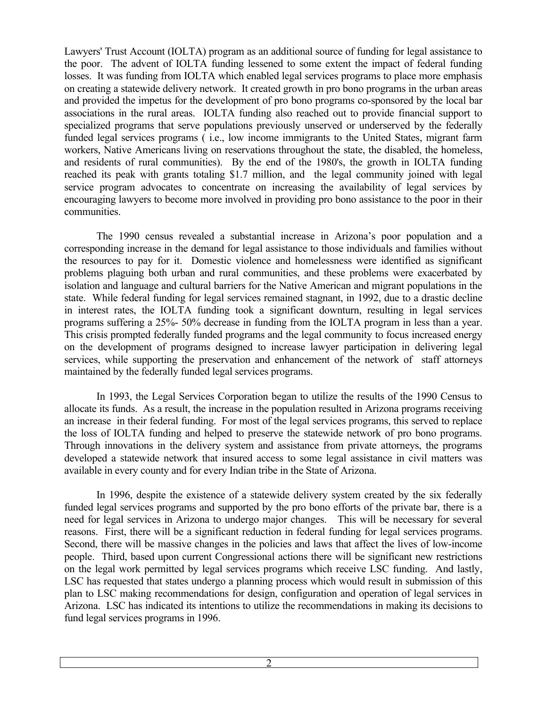Lawyers' Trust Account (IOLTA) program as an additional source of funding for legal assistance to the poor. The advent of IOLTA funding lessened to some extent the impact of federal funding losses. It was funding from IOLTA which enabled legal services programs to place more emphasis on creating a statewide delivery network. It created growth in pro bono programs in the urban areas and provided the impetus for the development of pro bono programs co-sponsored by the local bar associations in the rural areas. IOLTA funding also reached out to provide financial support to specialized programs that serve populations previously unserved or underserved by the federally funded legal services programs ( i.e., low income immigrants to the United States, migrant farm workers, Native Americans living on reservations throughout the state, the disabled, the homeless, and residents of rural communities). By the end of the 1980's, the growth in IOLTA funding reached its peak with grants totaling \$1.7 million, and the legal community joined with legal service program advocates to concentrate on increasing the availability of legal services by encouraging lawyers to become more involved in providing pro bono assistance to the poor in their communities.

The 1990 census revealed a substantial increase in Arizona's poor population and a corresponding increase in the demand for legal assistance to those individuals and families without the resources to pay for it. Domestic violence and homelessness were identified as significant problems plaguing both urban and rural communities, and these problems were exacerbated by isolation and language and cultural barriers for the Native American and migrant populations in the state. While federal funding for legal services remained stagnant, in 1992, due to a drastic decline in interest rates, the IOLTA funding took a significant downturn, resulting in legal services programs suffering a 25%- 50% decrease in funding from the IOLTA program in less than a year. This crisis prompted federally funded programs and the legal community to focus increased energy on the development of programs designed to increase lawyer participation in delivering legal services, while supporting the preservation and enhancement of the network of staff attorneys maintained by the federally funded legal services programs.

In 1993, the Legal Services Corporation began to utilize the results of the 1990 Census to allocate its funds. As a result, the increase in the population resulted in Arizona programs receiving an increase in their federal funding. For most of the legal services programs, this served to replace the loss of IOLTA funding and helped to preserve the statewide network of pro bono programs. Through innovations in the delivery system and assistance from private attorneys, the programs developed a statewide network that insured access to some legal assistance in civil matters was available in every county and for every Indian tribe in the State of Arizona.

In 1996, despite the existence of a statewide delivery system created by the six federally funded legal services programs and supported by the pro bono efforts of the private bar, there is a need for legal services in Arizona to undergo major changes. This will be necessary for several reasons. First, there will be a significant reduction in federal funding for legal services programs. Second, there will be massive changes in the policies and laws that affect the lives of low-income people. Third, based upon current Congressional actions there will be significant new restrictions on the legal work permitted by legal services programs which receive LSC funding. And lastly, LSC has requested that states undergo a planning process which would result in submission of this plan to LSC making recommendations for design, configuration and operation of legal services in Arizona. LSC has indicated its intentions to utilize the recommendations in making its decisions to fund legal services programs in 1996.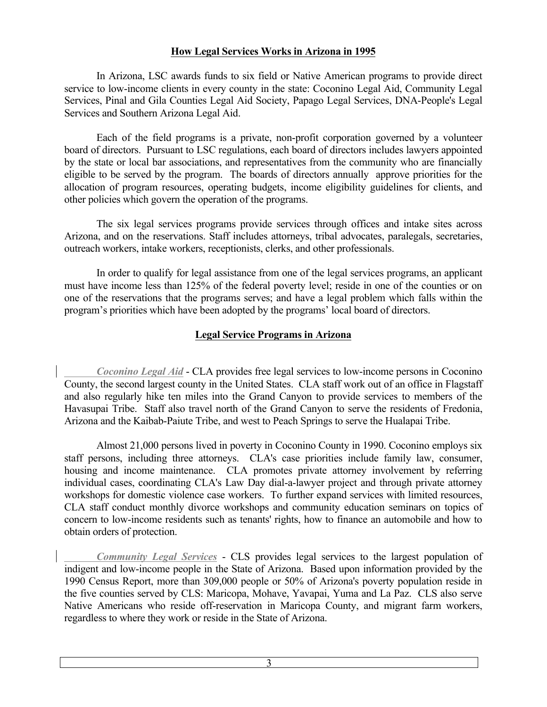## **How Legal Services Works in Arizona in 1995**

In Arizona, LSC awards funds to six field or Native American programs to provide direct service to low-income clients in every county in the state: Coconino Legal Aid, Community Legal Services, Pinal and Gila Counties Legal Aid Society, Papago Legal Services, DNA-People's Legal Services and Southern Arizona Legal Aid.

Each of the field programs is a private, non-profit corporation governed by a volunteer board of directors. Pursuant to LSC regulations, each board of directors includes lawyers appointed by the state or local bar associations, and representatives from the community who are financially eligible to be served by the program. The boards of directors annually approve priorities for the allocation of program resources, operating budgets, income eligibility guidelines for clients, and other policies which govern the operation of the programs.

The six legal services programs provide services through offices and intake sites across Arizona, and on the reservations. Staff includes attorneys, tribal advocates, paralegals, secretaries, outreach workers, intake workers, receptionists, clerks, and other professionals.

In order to qualify for legal assistance from one of the legal services programs, an applicant must have income less than 125% of the federal poverty level; reside in one of the counties or on one of the reservations that the programs serves; and have a legal problem which falls within the program's priorities which have been adopted by the programs' local board of directors.

# **Legal Service Programs in Arizona**

*Coconino Legal Aid* - CLA provides free legal services to low-income persons in Coconino County, the second largest county in the United States. CLA staff work out of an office in Flagstaff and also regularly hike ten miles into the Grand Canyon to provide services to members of the Havasupai Tribe. Staff also travel north of the Grand Canyon to serve the residents of Fredonia, Arizona and the Kaibab-Paiute Tribe, and west to Peach Springs to serve the Hualapai Tribe.

Almost 21,000 persons lived in poverty in Coconino County in 1990. Coconino employs six staff persons, including three attorneys. CLA's case priorities include family law, consumer, housing and income maintenance. CLA promotes private attorney involvement by referring individual cases, coordinating CLA's Law Day dial-a-lawyer project and through private attorney workshops for domestic violence case workers. To further expand services with limited resources, CLA staff conduct monthly divorce workshops and community education seminars on topics of concern to low-income residents such as tenants' rights, how to finance an automobile and how to obtain orders of protection.

*Community Legal Services* - CLS provides legal services to the largest population of indigent and low-income people in the State of Arizona. Based upon information provided by the 1990 Census Report, more than 309,000 people or 50% of Arizona's poverty population reside in the five counties served by CLS: Maricopa, Mohave, Yavapai, Yuma and La Paz. CLS also serve Native Americans who reside off-reservation in Maricopa County, and migrant farm workers, regardless to where they work or reside in the State of Arizona.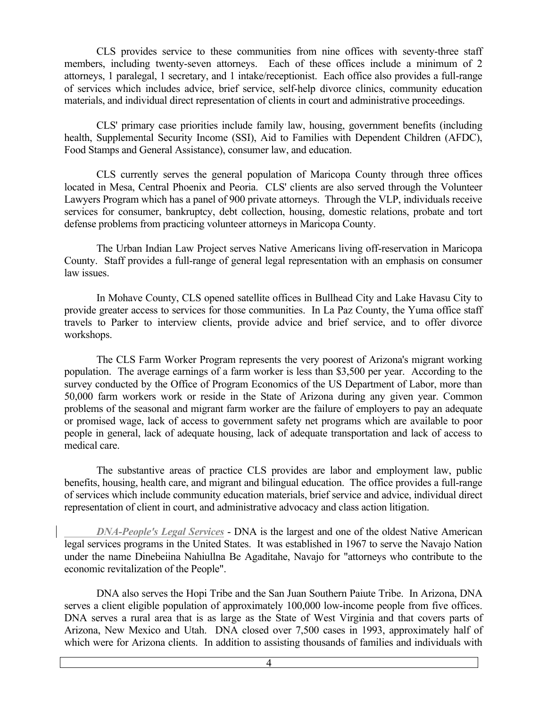CLS provides service to these communities from nine offices with seventy-three staff members, including twenty-seven attorneys. Each of these offices include a minimum of 2 attorneys, 1 paralegal, 1 secretary, and 1 intake/receptionist. Each office also provides a full-range of services which includes advice, brief service, self-help divorce clinics, community education materials, and individual direct representation of clients in court and administrative proceedings.

CLS' primary case priorities include family law, housing, government benefits (including health, Supplemental Security Income (SSI), Aid to Families with Dependent Children (AFDC), Food Stamps and General Assistance), consumer law, and education.

CLS currently serves the general population of Maricopa County through three offices located in Mesa, Central Phoenix and Peoria. CLS' clients are also served through the Volunteer Lawyers Program which has a panel of 900 private attorneys. Through the VLP, individuals receive services for consumer, bankruptcy, debt collection, housing, domestic relations, probate and tort defense problems from practicing volunteer attorneys in Maricopa County.

The Urban Indian Law Project serves Native Americans living off-reservation in Maricopa County. Staff provides a full-range of general legal representation with an emphasis on consumer law issues.

In Mohave County, CLS opened satellite offices in Bullhead City and Lake Havasu City to provide greater access to services for those communities. In La Paz County, the Yuma office staff travels to Parker to interview clients, provide advice and brief service, and to offer divorce workshops.

The CLS Farm Worker Program represents the very poorest of Arizona's migrant working population. The average earnings of a farm worker is less than \$3,500 per year. According to the survey conducted by the Office of Program Economics of the US Department of Labor, more than 50,000 farm workers work or reside in the State of Arizona during any given year. Common problems of the seasonal and migrant farm worker are the failure of employers to pay an adequate or promised wage, lack of access to government safety net programs which are available to poor people in general, lack of adequate housing, lack of adequate transportation and lack of access to medical care.

The substantive areas of practice CLS provides are labor and employment law, public benefits, housing, health care, and migrant and bilingual education. The office provides a full-range of services which include community education materials, brief service and advice, individual direct representation of client in court, and administrative advocacy and class action litigation.

*DNA-People's Legal Services* - DNA is the largest and one of the oldest Native American legal services programs in the United States. It was established in 1967 to serve the Navajo Nation under the name Dinebeiina Nahiullna Be Agaditahe, Navajo for "attorneys who contribute to the economic revitalization of the People".

DNA also serves the Hopi Tribe and the San Juan Southern Paiute Tribe. In Arizona, DNA serves a client eligible population of approximately 100,000 low-income people from five offices. DNA serves a rural area that is as large as the State of West Virginia and that covers parts of Arizona, New Mexico and Utah. DNA closed over 7,500 cases in 1993, approximately half of which were for Arizona clients. In addition to assisting thousands of families and individuals with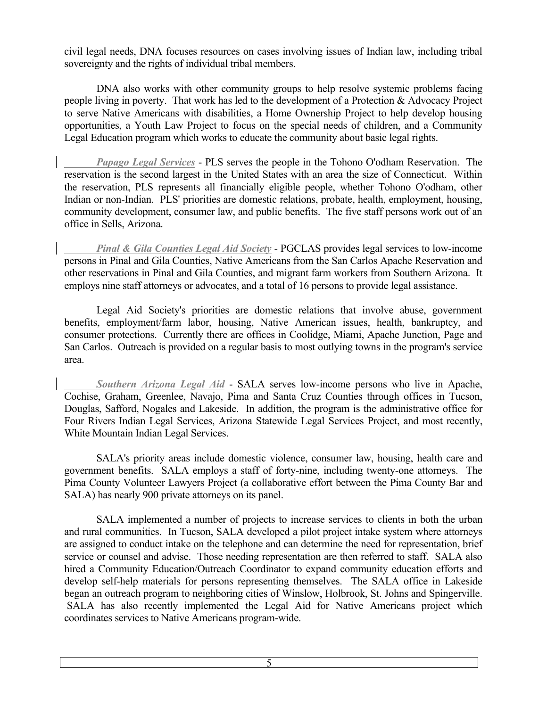civil legal needs, DNA focuses resources on cases involving issues of Indian law, including tribal sovereignty and the rights of individual tribal members.

DNA also works with other community groups to help resolve systemic problems facing people living in poverty. That work has led to the development of a Protection & Advocacy Project to serve Native Americans with disabilities, a Home Ownership Project to help develop housing opportunities, a Youth Law Project to focus on the special needs of children, and a Community Legal Education program which works to educate the community about basic legal rights.

*Papago Legal Services* - PLS serves the people in the Tohono O'odham Reservation. The reservation is the second largest in the United States with an area the size of Connecticut. Within the reservation, PLS represents all financially eligible people, whether Tohono O'odham, other Indian or non-Indian. PLS' priorities are domestic relations, probate, health, employment, housing, community development, consumer law, and public benefits. The five staff persons work out of an office in Sells, Arizona.

*Pinal & Gila Counties Legal Aid Society* - PGCLAS provides legal services to low-income persons in Pinal and Gila Counties, Native Americans from the San Carlos Apache Reservation and other reservations in Pinal and Gila Counties, and migrant farm workers from Southern Arizona. It employs nine staff attorneys or advocates, and a total of 16 persons to provide legal assistance.

Legal Aid Society's priorities are domestic relations that involve abuse, government benefits, employment/farm labor, housing, Native American issues, health, bankruptcy, and consumer protections. Currently there are offices in Coolidge, Miami, Apache Junction, Page and San Carlos. Outreach is provided on a regular basis to most outlying towns in the program's service area.

*Southern Arizona Legal Aid* - SALA serves low-income persons who live in Apache, Cochise, Graham, Greenlee, Navajo, Pima and Santa Cruz Counties through offices in Tucson, Douglas, Safford, Nogales and Lakeside. In addition, the program is the administrative office for Four Rivers Indian Legal Services, Arizona Statewide Legal Services Project, and most recently, White Mountain Indian Legal Services.

SALA's priority areas include domestic violence, consumer law, housing, health care and government benefits. SALA employs a staff of forty-nine, including twenty-one attorneys. The Pima County Volunteer Lawyers Project (a collaborative effort between the Pima County Bar and SALA) has nearly 900 private attorneys on its panel.

SALA implemented a number of projects to increase services to clients in both the urban and rural communities. In Tucson, SALA developed a pilot project intake system where attorneys are assigned to conduct intake on the telephone and can determine the need for representation, brief service or counsel and advise. Those needing representation are then referred to staff. SALA also hired a Community Education/Outreach Coordinator to expand community education efforts and develop self-help materials for persons representing themselves. The SALA office in Lakeside began an outreach program to neighboring cities of Winslow, Holbrook, St. Johns and Spingerville. SALA has also recently implemented the Legal Aid for Native Americans project which coordinates services to Native Americans program-wide.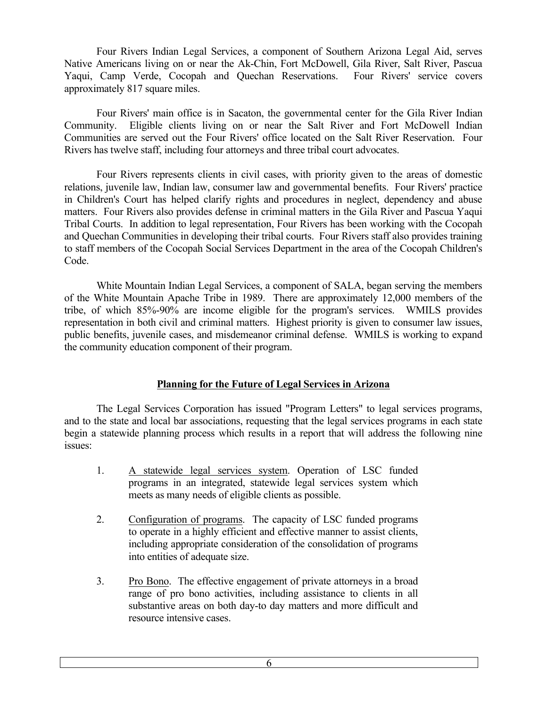Four Rivers Indian Legal Services, a component of Southern Arizona Legal Aid, serves Native Americans living on or near the Ak-Chin, Fort McDowell, Gila River, Salt River, Pascua Yaqui, Camp Verde, Cocopah and Quechan Reservations. Four Rivers' service covers approximately 817 square miles.

Four Rivers' main office is in Sacaton, the governmental center for the Gila River Indian Community. Eligible clients living on or near the Salt River and Fort McDowell Indian Communities are served out the Four Rivers' office located on the Salt River Reservation. Four Rivers has twelve staff, including four attorneys and three tribal court advocates.

Four Rivers represents clients in civil cases, with priority given to the areas of domestic relations, juvenile law, Indian law, consumer law and governmental benefits. Four Rivers' practice in Children's Court has helped clarify rights and procedures in neglect, dependency and abuse matters. Four Rivers also provides defense in criminal matters in the Gila River and Pascua Yaqui Tribal Courts. In addition to legal representation, Four Rivers has been working with the Cocopah and Quechan Communities in developing their tribal courts. Four Rivers staff also provides training to staff members of the Cocopah Social Services Department in the area of the Cocopah Children's Code.

White Mountain Indian Legal Services, a component of SALA, began serving the members of the White Mountain Apache Tribe in 1989. There are approximately 12,000 members of the tribe, of which 85%-90% are income eligible for the program's services. WMILS provides representation in both civil and criminal matters. Highest priority is given to consumer law issues, public benefits, juvenile cases, and misdemeanor criminal defense. WMILS is working to expand the community education component of their program.

### **Planning for the Future of Legal Services in Arizona**

The Legal Services Corporation has issued "Program Letters" to legal services programs, and to the state and local bar associations, requesting that the legal services programs in each state begin a statewide planning process which results in a report that will address the following nine issues:

- 1. A statewide legal services system. Operation of LSC funded programs in an integrated, statewide legal services system which meets as many needs of eligible clients as possible.
- 2. Configuration of programs. The capacity of LSC funded programs to operate in a highly efficient and effective manner to assist clients, including appropriate consideration of the consolidation of programs into entities of adequate size.
- 3. Pro Bono. The effective engagement of private attorneys in a broad range of pro bono activities, including assistance to clients in all substantive areas on both day-to day matters and more difficult and resource intensive cases.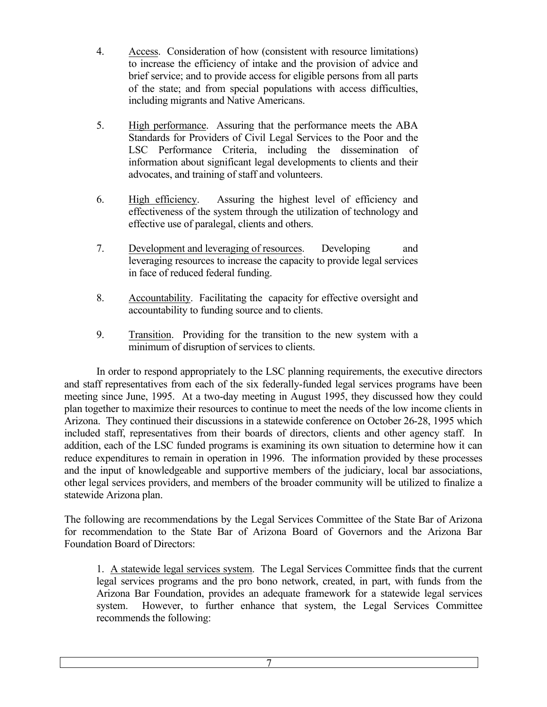- 4. Access. Consideration of how (consistent with resource limitations) to increase the efficiency of intake and the provision of advice and brief service; and to provide access for eligible persons from all parts of the state; and from special populations with access difficulties, including migrants and Native Americans.
- 5. High performance. Assuring that the performance meets the ABA Standards for Providers of Civil Legal Services to the Poor and the LSC Performance Criteria, including the dissemination of information about significant legal developments to clients and their advocates, and training of staff and volunteers.
- 6. High efficiency. Assuring the highest level of efficiency and effectiveness of the system through the utilization of technology and effective use of paralegal, clients and others.
- 7. Development and leveraging of resources. Developing and leveraging resources to increase the capacity to provide legal services in face of reduced federal funding.
- 8. Accountability. Facilitating the capacity for effective oversight and accountability to funding source and to clients.
- 9. Transition. Providing for the transition to the new system with a minimum of disruption of services to clients.

In order to respond appropriately to the LSC planning requirements, the executive directors and staff representatives from each of the six federally-funded legal services programs have been meeting since June, 1995. At a two-day meeting in August 1995, they discussed how they could plan together to maximize their resources to continue to meet the needs of the low income clients in Arizona. They continued their discussions in a statewide conference on October 26-28, 1995 which included staff, representatives from their boards of directors, clients and other agency staff. In addition, each of the LSC funded programs is examining its own situation to determine how it can reduce expenditures to remain in operation in 1996. The information provided by these processes and the input of knowledgeable and supportive members of the judiciary, local bar associations, other legal services providers, and members of the broader community will be utilized to finalize a statewide Arizona plan.

The following are recommendations by the Legal Services Committee of the State Bar of Arizona for recommendation to the State Bar of Arizona Board of Governors and the Arizona Bar Foundation Board of Directors:

1. A statewide legal services system. The Legal Services Committee finds that the current legal services programs and the pro bono network, created, in part, with funds from the Arizona Bar Foundation, provides an adequate framework for a statewide legal services system. However, to further enhance that system, the Legal Services Committee recommends the following: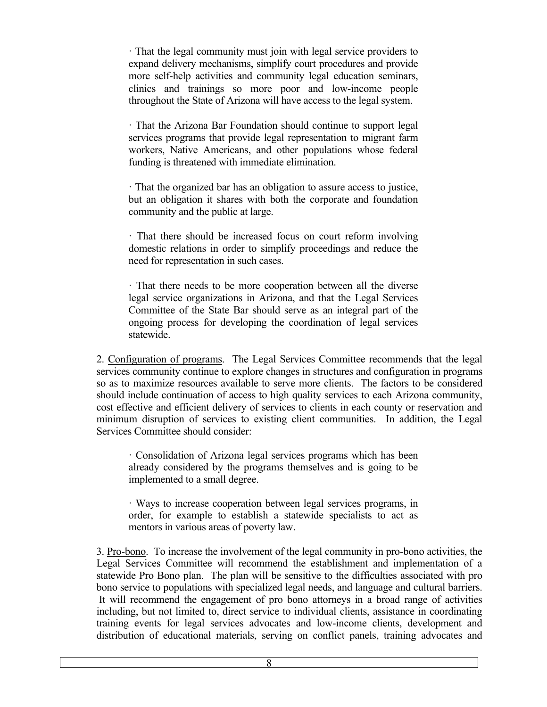· That the legal community must join with legal service providers to expand delivery mechanisms, simplify court procedures and provide more self-help activities and community legal education seminars, clinics and trainings so more poor and low-income people throughout the State of Arizona will have access to the legal system.

· That the Arizona Bar Foundation should continue to support legal services programs that provide legal representation to migrant farm workers, Native Americans, and other populations whose federal funding is threatened with immediate elimination.

· That the organized bar has an obligation to assure access to justice, but an obligation it shares with both the corporate and foundation community and the public at large.

· That there should be increased focus on court reform involving domestic relations in order to simplify proceedings and reduce the need for representation in such cases.

· That there needs to be more cooperation between all the diverse legal service organizations in Arizona, and that the Legal Services Committee of the State Bar should serve as an integral part of the ongoing process for developing the coordination of legal services statewide.

2. Configuration of programs. The Legal Services Committee recommends that the legal services community continue to explore changes in structures and configuration in programs so as to maximize resources available to serve more clients. The factors to be considered should include continuation of access to high quality services to each Arizona community, cost effective and efficient delivery of services to clients in each county or reservation and minimum disruption of services to existing client communities. In addition, the Legal Services Committee should consider:

· Consolidation of Arizona legal services programs which has been already considered by the programs themselves and is going to be implemented to a small degree.

· Ways to increase cooperation between legal services programs, in order, for example to establish a statewide specialists to act as mentors in various areas of poverty law.

3. Pro-bono. To increase the involvement of the legal community in pro-bono activities, the Legal Services Committee will recommend the establishment and implementation of a statewide Pro Bono plan. The plan will be sensitive to the difficulties associated with pro bono service to populations with specialized legal needs, and language and cultural barriers. It will recommend the engagement of pro bono attorneys in a broad range of activities including, but not limited to, direct service to individual clients, assistance in coordinating training events for legal services advocates and low-income clients, development and distribution of educational materials, serving on conflict panels, training advocates and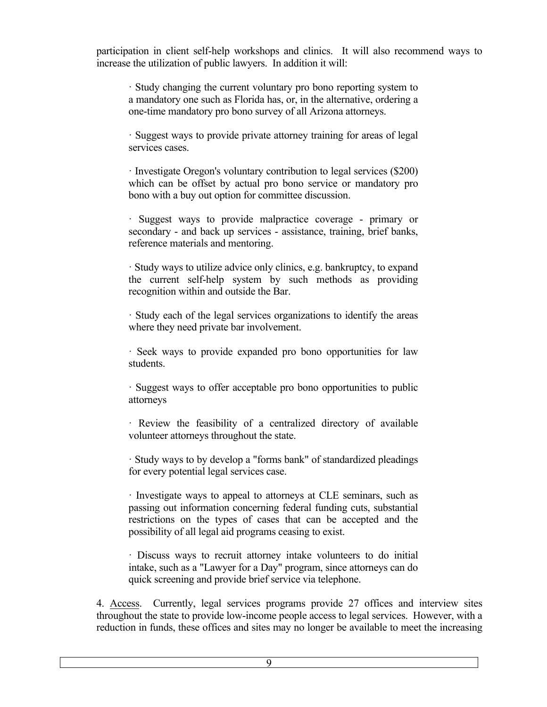participation in client self-help workshops and clinics. It will also recommend ways to increase the utilization of public lawyers. In addition it will:

· Study changing the current voluntary pro bono reporting system to a mandatory one such as Florida has, or, in the alternative, ordering a one-time mandatory pro bono survey of all Arizona attorneys.

· Suggest ways to provide private attorney training for areas of legal services cases.

· Investigate Oregon's voluntary contribution to legal services (\$200) which can be offset by actual pro bono service or mandatory pro bono with a buy out option for committee discussion.

· Suggest ways to provide malpractice coverage - primary or secondary - and back up services - assistance, training, brief banks, reference materials and mentoring.

· Study ways to utilize advice only clinics, e.g. bankruptcy, to expand the current self-help system by such methods as providing recognition within and outside the Bar.

· Study each of the legal services organizations to identify the areas where they need private bar involvement.

· Seek ways to provide expanded pro bono opportunities for law students.

· Suggest ways to offer acceptable pro bono opportunities to public attorneys

· Review the feasibility of a centralized directory of available volunteer attorneys throughout the state.

· Study ways to by develop a "forms bank" of standardized pleadings for every potential legal services case.

· Investigate ways to appeal to attorneys at CLE seminars, such as passing out information concerning federal funding cuts, substantial restrictions on the types of cases that can be accepted and the possibility of all legal aid programs ceasing to exist.

· Discuss ways to recruit attorney intake volunteers to do initial intake, such as a "Lawyer for a Day" program, since attorneys can do quick screening and provide brief service via telephone.

4. Access. Currently, legal services programs provide 27 offices and interview sites throughout the state to provide low-income people access to legal services. However, with a reduction in funds, these offices and sites may no longer be available to meet the increasing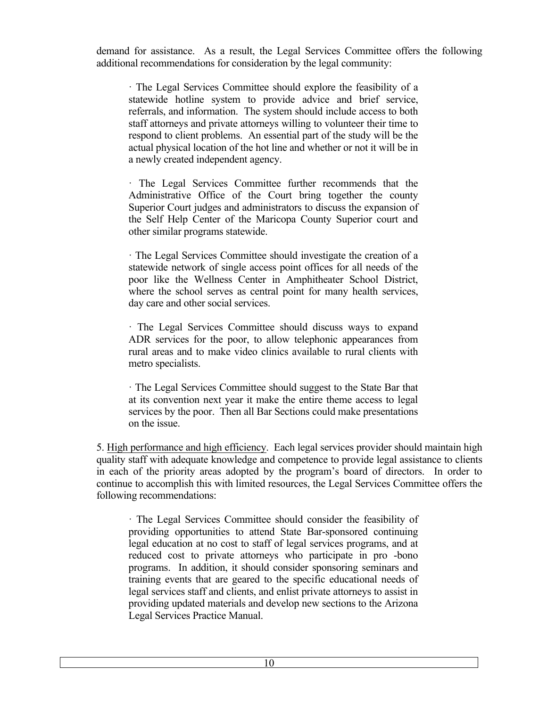demand for assistance. As a result, the Legal Services Committee offers the following additional recommendations for consideration by the legal community:

· The Legal Services Committee should explore the feasibility of a statewide hotline system to provide advice and brief service, referrals, and information. The system should include access to both staff attorneys and private attorneys willing to volunteer their time to respond to client problems. An essential part of the study will be the actual physical location of the hot line and whether or not it will be in a newly created independent agency.

· The Legal Services Committee further recommends that the Administrative Office of the Court bring together the county Superior Court judges and administrators to discuss the expansion of the Self Help Center of the Maricopa County Superior court and other similar programs statewide.

· The Legal Services Committee should investigate the creation of a statewide network of single access point offices for all needs of the poor like the Wellness Center in Amphitheater School District, where the school serves as central point for many health services, day care and other social services.

· The Legal Services Committee should discuss ways to expand ADR services for the poor, to allow telephonic appearances from rural areas and to make video clinics available to rural clients with metro specialists.

· The Legal Services Committee should suggest to the State Bar that at its convention next year it make the entire theme access to legal services by the poor. Then all Bar Sections could make presentations on the issue.

5. High performance and high efficiency. Each legal services provider should maintain high quality staff with adequate knowledge and competence to provide legal assistance to clients in each of the priority areas adopted by the program's board of directors. In order to continue to accomplish this with limited resources, the Legal Services Committee offers the following recommendations:

· The Legal Services Committee should consider the feasibility of providing opportunities to attend State Bar-sponsored continuing legal education at no cost to staff of legal services programs, and at reduced cost to private attorneys who participate in pro -bono programs. In addition, it should consider sponsoring seminars and training events that are geared to the specific educational needs of legal services staff and clients, and enlist private attorneys to assist in providing updated materials and develop new sections to the Arizona Legal Services Practice Manual.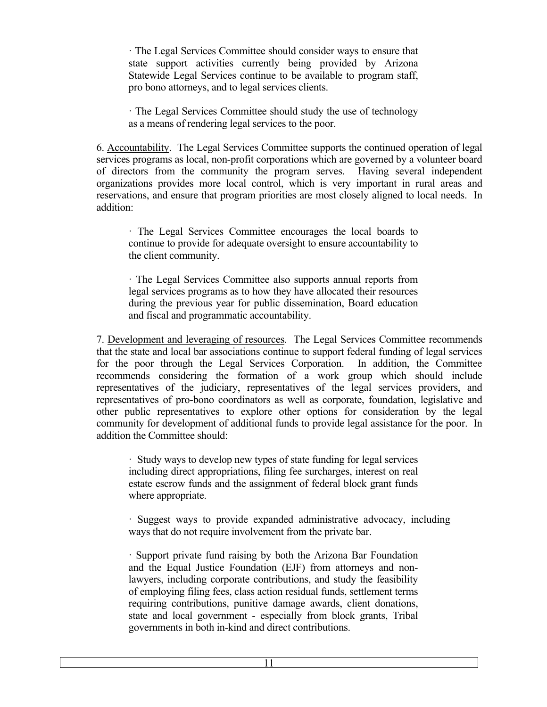· The Legal Services Committee should consider ways to ensure that state support activities currently being provided by Arizona Statewide Legal Services continue to be available to program staff, pro bono attorneys, and to legal services clients.

· The Legal Services Committee should study the use of technology as a means of rendering legal services to the poor.

6. Accountability. The Legal Services Committee supports the continued operation of legal services programs as local, non-profit corporations which are governed by a volunteer board of directors from the community the program serves. Having several independent organizations provides more local control, which is very important in rural areas and reservations, and ensure that program priorities are most closely aligned to local needs. In addition:

· The Legal Services Committee encourages the local boards to continue to provide for adequate oversight to ensure accountability to the client community.

· The Legal Services Committee also supports annual reports from legal services programs as to how they have allocated their resources during the previous year for public dissemination, Board education and fiscal and programmatic accountability.

7. Development and leveraging of resources. The Legal Services Committee recommends that the state and local bar associations continue to support federal funding of legal services for the poor through the Legal Services Corporation. In addition, the Committee recommends considering the formation of a work group which should include representatives of the judiciary, representatives of the legal services providers, and representatives of pro-bono coordinators as well as corporate, foundation, legislative and other public representatives to explore other options for consideration by the legal community for development of additional funds to provide legal assistance for the poor. In addition the Committee should:

· Study ways to develop new types of state funding for legal services including direct appropriations, filing fee surcharges, interest on real estate escrow funds and the assignment of federal block grant funds where appropriate.

· Suggest ways to provide expanded administrative advocacy, including ways that do not require involvement from the private bar.

· Support private fund raising by both the Arizona Bar Foundation and the Equal Justice Foundation (EJF) from attorneys and nonlawyers, including corporate contributions, and study the feasibility of employing filing fees, class action residual funds, settlement terms requiring contributions, punitive damage awards, client donations, state and local government - especially from block grants, Tribal governments in both in-kind and direct contributions.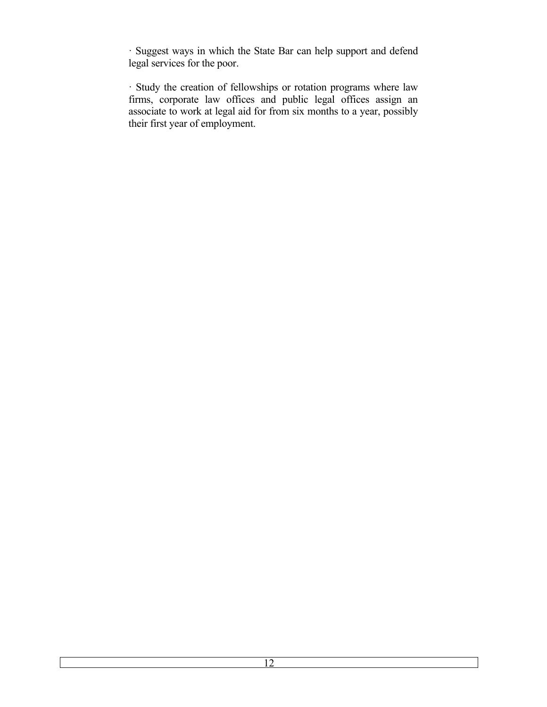· Suggest ways in which the State Bar can help support and defend legal services for the poor.

· Study the creation of fellowships or rotation programs where law firms, corporate law offices and public legal offices assign an associate to work at legal aid for from six months to a year, possibly their first year of employment.